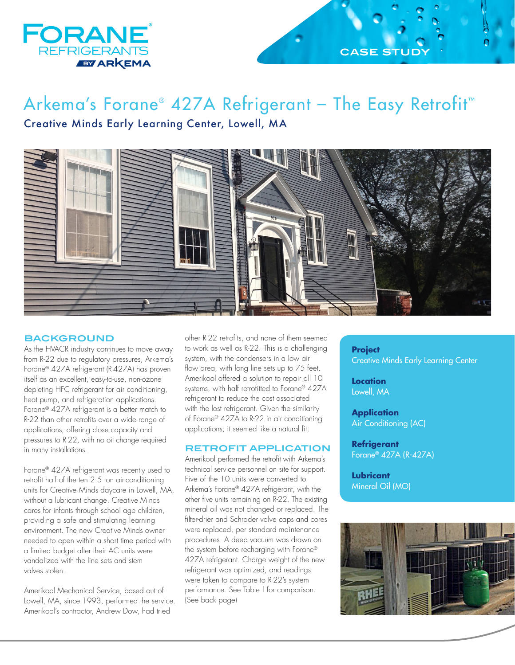

## **CASE STI**

# Arkema's Forane® 427A Refrigerant – The Easy Retrofit™ Creative Minds Early Learning Center, Lowell, MA



### **BACKGROUND**

As the HVACR industry continues to move away from R-22 due to regulatory pressures, Arkema's Forane® 427A refrigerant (R-427A) has proven itself as an excellent, easy-to-use, non-ozone depleting HFC refrigerant for air conditioning, heat pump, and refrigeration applications. Forane® 427A refrigerant is a better match to R-22 than other retrofits over a wide range of applications, offering close capacity and pressures to R-22, with no oil change required in many installations.

Forane® 427A refrigerant was recently used to retrofit half of the ten 2.5 ton air-conditioning units for Creative Minds daycare in Lowell, MA, without a lubricant change. Creative Minds cares for infants through school age children, providing a safe and stimulating learning environment. The new Creative Minds owner needed to open within a short time period with a limited budget after their AC units were vandalized with the line sets and stem valves stolen.

Amerikool Mechanical Service, based out of Lowell, MA, since 1993, performed the service. Amerikool's contractor, Andrew Dow, had tried

other R-22 retrofits, and none of them seemed to work as well as R-22. This is a challenging system, with the condensers in a low air flow area, with long line sets up to 75 feet. Amerikool offered a solution to repair all 10 systems, with half retrofitted to Forane® 427A refrigerant to reduce the cost associated with the lost refrigerant. Given the similarity of Forane® 427A to R-22 in air conditioning applications, it seemed like a natural fit.

#### **RETROFIT APPLICATION**

Amerikool performed the retrofit with Arkema's technical service personnel on site for support. Five of the 10 units were converted to Arkema's Forane® 427A refrigerant, with the other five units remaining on R-22. The existing mineral oil was not changed or replaced. The filter-drier and Schrader valve caps and cores were replaced, per standard maintenance procedures. A deep vacuum was drawn on the system before recharging with Forane® 427A refrigerant. Charge weight of the new refrigerant was optimized, and readings were taken to compare to R-22's system performance. See Table 1 for comparison. (See back page)

**Project**  Creative Minds Early Learning Center

**Location**  Lowell, MA

**Application**  Air Conditioning (AC)

**Refrigerant**  Forane® 427A (R-427A)

**Lubricant**  Mineral Oil (MO)